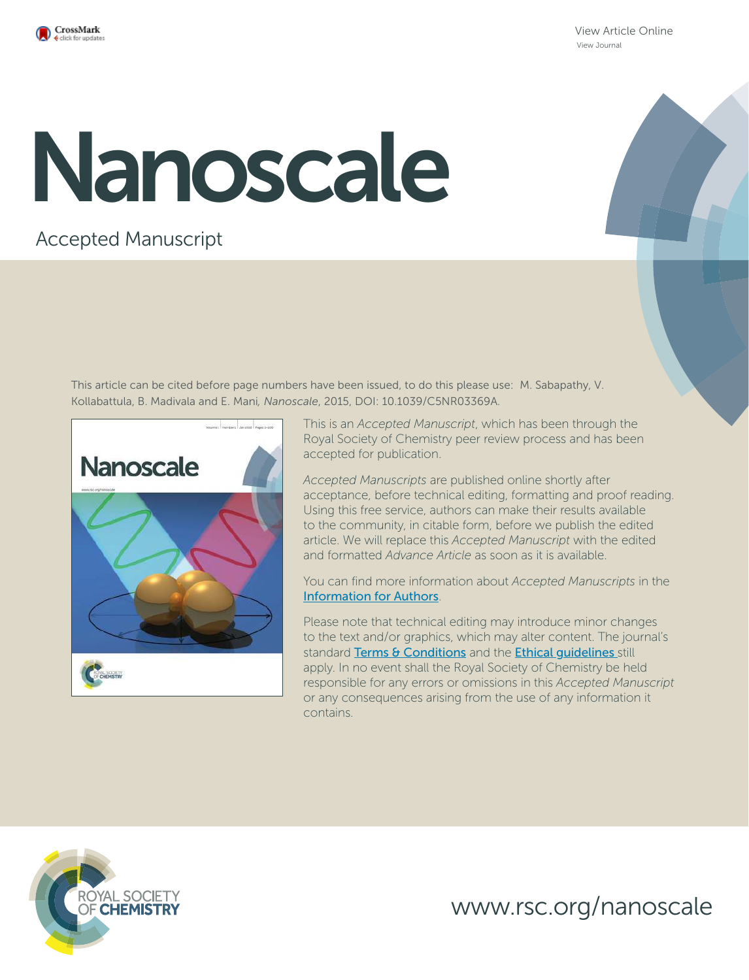

View Article Online View Journal

# Nanoscale

# Accepted Manuscript

This article can be cited before page numbers have been issued, to do this please use: M. Sabapathy, V. Kollabattula, B. Madivala and E. Mani*, Nanoscale*, 2015, DOI: 10.1039/C5NR03369A.



This is an *Accepted Manuscript*, which has been through the Royal Society of Chemistry peer review process and has been accepted for publication.

*Accepted Manuscripts* are published online shortly after acceptance, before technical editing, formatting and proof reading. Using this free service, authors can make their results available to the community, in citable form, before we publish the edited article. We will replace this *Accepted Manuscript* with the edited and formatted *Advance Article* as soon as it is available.

You can find more information about *Accepted Manuscripts* in the Information for Authors.

Please note that technical editing may introduce minor changes to the text and/or graphics, which may alter content. The journal's standard Terms & Conditions and the Ethical quidelines still apply. In no event shall the Royal Society of Chemistry be held responsible for any errors or omissions in this *Accepted Manuscript* or any consequences arising from the use of any information it contains.



www.rsc.org/nanoscale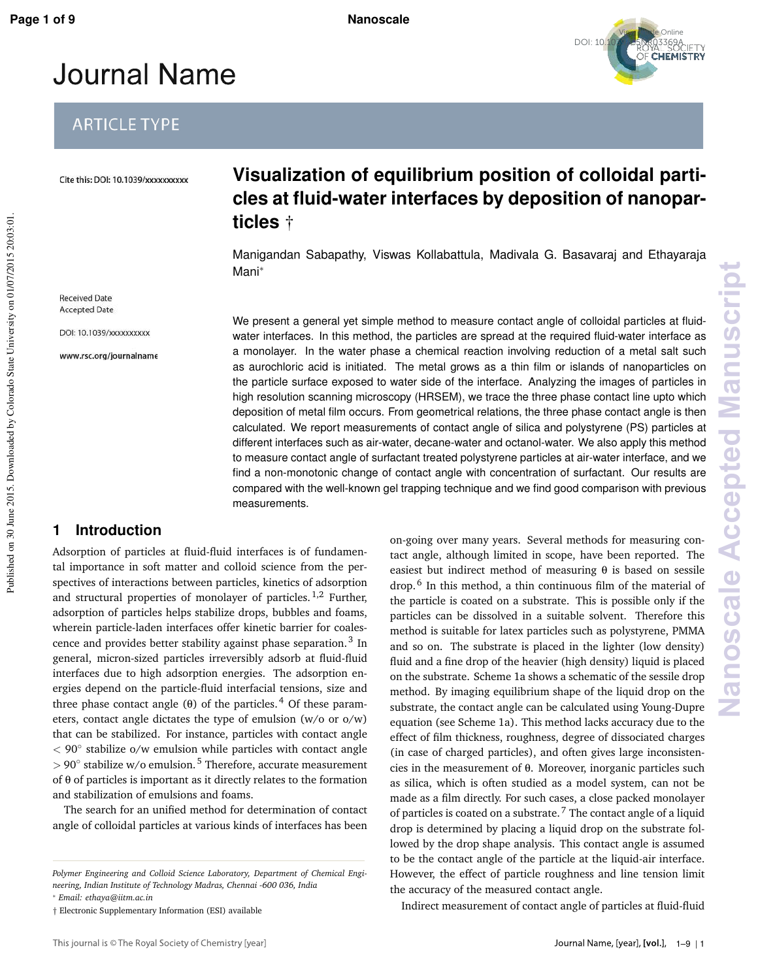Published on 30 June 2015. Downloaded by Colorado State University on 01/07/2015 20:03:01.

Published on 30 June 2015. Downloaded by Colorado State University on 01/07/2015 20:03:01



# **Journal Name**

# **ARTICLE TYPE**

Cite this: DOI: 10.1039/xxxxxxxxxx

**Received Date Accepted Date** 

DOI: 10.1039/xxxxxxxxxx www.rsc.org/journalname

# **Visualization of equilibrium position of colloidal particles at fluid-water interfaces by deposition of nanoparticles** †

Manigandan Sabapathy, Viswas Kollabattula, Madivala G. Basavaraj and Ethayaraja Mani<sup>∗</sup>

We present a general yet simple method to measure contact angle of colloidal particles at fluidwater interfaces. In this method, the particles are spread at the required fluid-water interface as a monolayer. In the water phase a chemical reaction involving reduction of a metal salt such as aurochloric acid is initiated. The metal grows as a thin film or islands of nanoparticles on the particle surface exposed to water side of the interface. Analyzing the images of particles in high resolution scanning microscopy (HRSEM), we trace the three phase contact line upto which deposition of metal film occurs. From geometrical relations, the three phase contact angle is then calculated. We report measurements of contact angle of silica and polystyrene (PS) particles at different interfaces such as air-water, decane-water and octanol-water. We also apply this method to measure contact angle of surfactant treated polystyrene particles at air-water interface, and we find a non-monotonic change of contact angle with concentration of surfactant. Our results are compared with the well-known gel trapping technique and we find good comparison with previous measurements.

## **1 Introduction**

Adsorption of particles at fluid-fluid interfaces is of fundamental importance in soft matter and colloid science from the perspectives of interactions between particles, kinetics of adsorption and structural properties of monolayer of particles.<sup>1,2</sup> Further, adsorption of particles helps stabilize drops, bubbles and foams, wherein particle-laden interfaces offer kinetic barrier for coalescence and provides better stability against phase separation.<sup>3</sup> In general, micron-sized particles irreversibly adsorb at fluid-fluid interfaces due to high adsorption energies. The adsorption energies depend on the particle-fluid interfacial tensions, size and three phase contact angle (θ) of the particles.<sup>4</sup> Of these parameters, contact angle dictates the type of emulsion (w/o or o/w) that can be stabilized. For instance, particles with contact angle < 90◦ stabilize o/w emulsion while particles with contact angle > 90° stabilize w/o emulsion.<sup>5</sup> Therefore, accurate measurement of θ of particles is important as it directly relates to the formation and stabilization of emulsions and foams.

The search for an unified method for determination of contact angle of colloidal particles at various kinds of interfaces has been

<sup>∗</sup> *Email: ethaya@iitm.ac.in*

on-going over many years. Several methods for measuring contact angle, although limited in scope, have been reported. The easiest but indirect method of measuring  $\theta$  is based on sessile drop.<sup>6</sup> In this method, a thin continuous film of the material of the particle is coated on a substrate. This is possible only if the particles can be dissolved in a suitable solvent. Therefore this method is suitable for latex particles such as polystyrene, PMMA and so on. The substrate is placed in the lighter (low density) fluid and a fine drop of the heavier (high density) liquid is placed on the substrate. Scheme 1a shows a schematic of the sessile drop method. By imaging equilibrium shape of the liquid drop on the substrate, the contact angle can be calculated using Young-Dupre equation (see Scheme 1a). This method lacks accuracy due to the effect of film thickness, roughness, degree of dissociated charges (in case of charged particles), and often gives large inconsistencies in the measurement of θ. Moreover, inorganic particles such as silica, which is often studied as a model system, can not be made as a film directly. For such cases, a close packed monolayer of particles is coated on a substrate.<sup>7</sup> The contact angle of a liquid drop is determined by placing a liquid drop on the substrate followed by the drop shape analysis. This contact angle is assumed to be the contact angle of the particle at the liquid-air interface. However, the effect of particle roughness and line tension limit the accuracy of the measured contact angle.

Indirect measurement of contact angle of particles at fluid-fluid

*Polymer Engineering and Colloid Science Laboratory, Department of Chemical Engineering, Indian Institute of Technology Madras, Chennai -600 036, India*

<sup>†</sup> Electronic Supplementary Information (ESI) available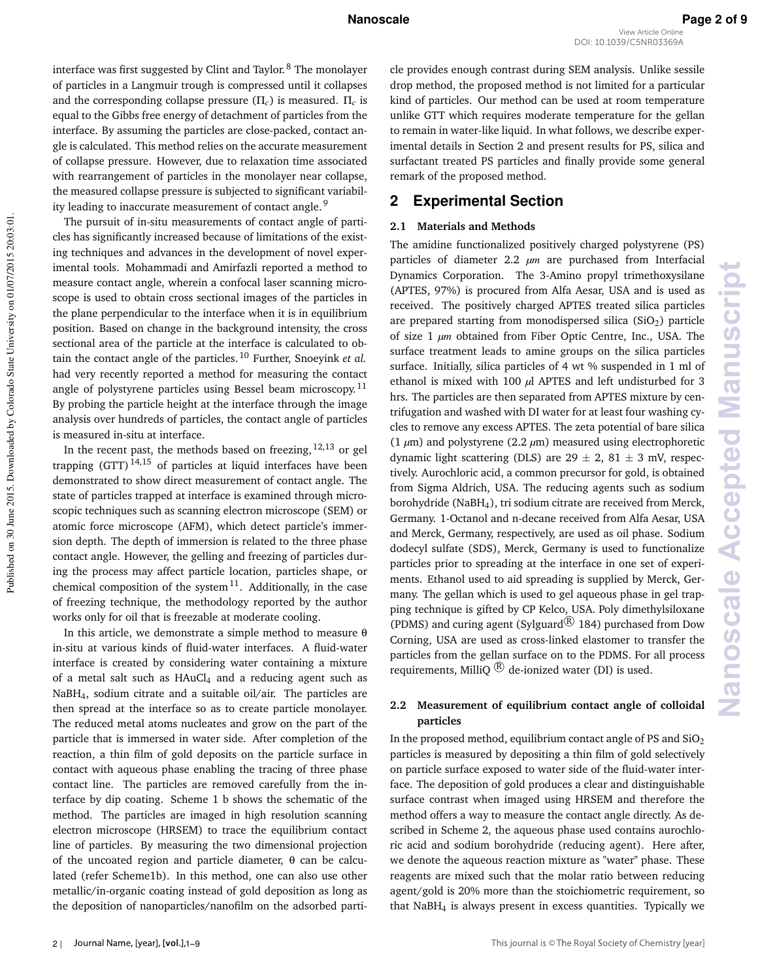interface was first suggested by Clint and Taylor. <sup>8</sup> The monolayer of particles in a Langmuir trough is compressed until it collapses and the corresponding collapse pressure (Π*c*) is measured. Π*c* is equal to the Gibbs free energy of detachment of particles from the interface. By assuming the particles are close-packed, contact angle is calculated. This method relies on the accurate measurement of collapse pressure. However, due to relaxation time associated with rearrangement of particles in the monolayer near collapse, the measured collapse pressure is subjected to significant variability leading to inaccurate measurement of contact angle.<sup>9</sup>

The pursuit of in-situ measurements of contact angle of particles has significantly increased because of limitations of the existing techniques and advances in the development of novel experimental tools. Mohammadi and Amirfazli reported a method to measure contact angle, wherein a confocal laser scanning microscope is used to obtain cross sectional images of the particles in the plane perpendicular to the interface when it is in equilibrium position. Based on change in the background intensity, the cross sectional area of the particle at the interface is calculated to obtain the contact angle of the particles. <sup>10</sup> Further, Snoeyink *et al.* had very recently reported a method for measuring the contact angle of polystyrene particles using Bessel beam microscopy.<sup>11</sup> By probing the particle height at the interface through the image analysis over hundreds of particles, the contact angle of particles is measured in-situ at interface.

Published on 30 June 2015. Downloaded by Colorado State University on 01/07/2015 20:03:01.

Published on 30 June 2015. Downloaded by Colorado State University on 01/07/2015 20:03:01

In the recent past, the methods based on freezing,  $12,13$  or gel trapping  $(GTT)^{14,15}$  of particles at liquid interfaces have been demonstrated to show direct measurement of contact angle. The state of particles trapped at interface is examined through microscopic techniques such as scanning electron microscope (SEM) or atomic force microscope (AFM), which detect particle's immersion depth. The depth of immersion is related to the three phase contact angle. However, the gelling and freezing of particles during the process may affect particle location, particles shape, or chemical composition of the system<sup>11</sup>. Additionally, in the case of freezing technique, the methodology reported by the author works only for oil that is freezable at moderate cooling.

In this article, we demonstrate a simple method to measure  $\theta$ in-situ at various kinds of fluid-water interfaces. A fluid-water interface is created by considering water containing a mixture of a metal salt such as  $HAuCl<sub>4</sub>$  and a reducing agent such as NaBH4, sodium citrate and a suitable oil/air. The particles are then spread at the interface so as to create particle monolayer. The reduced metal atoms nucleates and grow on the part of the particle that is immersed in water side. After completion of the reaction, a thin film of gold deposits on the particle surface in contact with aqueous phase enabling the tracing of three phase contact line. The particles are removed carefully from the interface by dip coating. Scheme 1 b shows the schematic of the method. The particles are imaged in high resolution scanning electron microscope (HRSEM) to trace the equilibrium contact line of particles. By measuring the two dimensional projection of the uncoated region and particle diameter, θ can be calculated (refer Scheme1b). In this method, one can also use other metallic/in-organic coating instead of gold deposition as long as the deposition of nanoparticles/nanofilm on the adsorbed particle provides enough contrast during SEM analysis. Unlike sessile drop method, the proposed method is not limited for a particular kind of particles. Our method can be used at room temperature unlike GTT which requires moderate temperature for the gellan to remain in water-like liquid. In what follows, we describe experimental details in Section 2 and present results for PS, silica and surfactant treated PS particles and finally provide some general remark of the proposed method.

### **2 Experimental Section**

### **2.1 Materials and Methods**

The amidine functionalized positively charged polystyrene (PS) particles of diameter 2.2 *µm* are purchased from Interfacial Dynamics Corporation. The 3-Amino propyl trimethoxysilane (APTES, 97%) is procured from Alfa Aesar, USA and is used as received. The positively charged APTES treated silica particles are prepared starting from monodispersed silica  $(SiO<sub>2</sub>)$  particle of size 1 *µm* obtained from Fiber Optic Centre, Inc., USA. The surface treatment leads to amine groups on the silica particles surface. Initially, silica particles of 4 wt % suspended in 1 ml of ethanol is mixed with 100 *µ*l APTES and left undisturbed for 3 hrs. The particles are then separated from APTES mixture by centrifugation and washed with DI water for at least four washing cycles to remove any excess APTES. The zeta potential of bare silica (1 *µ*m) and polystyrene (2.2 *µ*m) measured using electrophoretic dynamic light scattering (DLS) are  $29 \pm 2$ ,  $81 \pm 3$  mV, respectively. Aurochloric acid, a common precursor for gold, is obtained from Sigma Aldrich, USA. The reducing agents such as sodium borohydride (NaBH4), tri sodium citrate are received from Merck, Germany. 1-Octanol and n-decane received from Alfa Aesar, USA and Merck, Germany, respectively, are used as oil phase. Sodium dodecyl sulfate (SDS), Merck, Germany is used to functionalize particles prior to spreading at the interface in one set of experiments. Ethanol used to aid spreading is supplied by Merck, Germany. The gellan which is used to gel aqueous phase in gel trapping technique is gifted by CP Kelco, USA. Poly dimethylsiloxane (PDMS) and curing agent (Sylguard<sup>(R)</sup> 184) purchased from Dow Corning, USA are used as cross-linked elastomer to transfer the particles from the gellan surface on to the PDMS. For all process requirements, MilliQ  $\mathbb{R}$  de-ionized water (DI) is used.

### **2.2 Measurement of equilibrium contact angle of colloidal particles**

In the proposed method, equilibrium contact angle of PS and  $SiO<sub>2</sub>$ particles is measured by depositing a thin film of gold selectively on particle surface exposed to water side of the fluid-water interface. The deposition of gold produces a clear and distinguishable surface contrast when imaged using HRSEM and therefore the method offers a way to measure the contact angle directly. As described in Scheme 2, the aqueous phase used contains aurochloric acid and sodium borohydride (reducing agent). Here after, we denote the aqueous reaction mixture as "water" phase. These reagents are mixed such that the molar ratio between reducing agent/gold is 20% more than the stoichiometric requirement, so that NaBH4 is always present in excess quantities. Typically we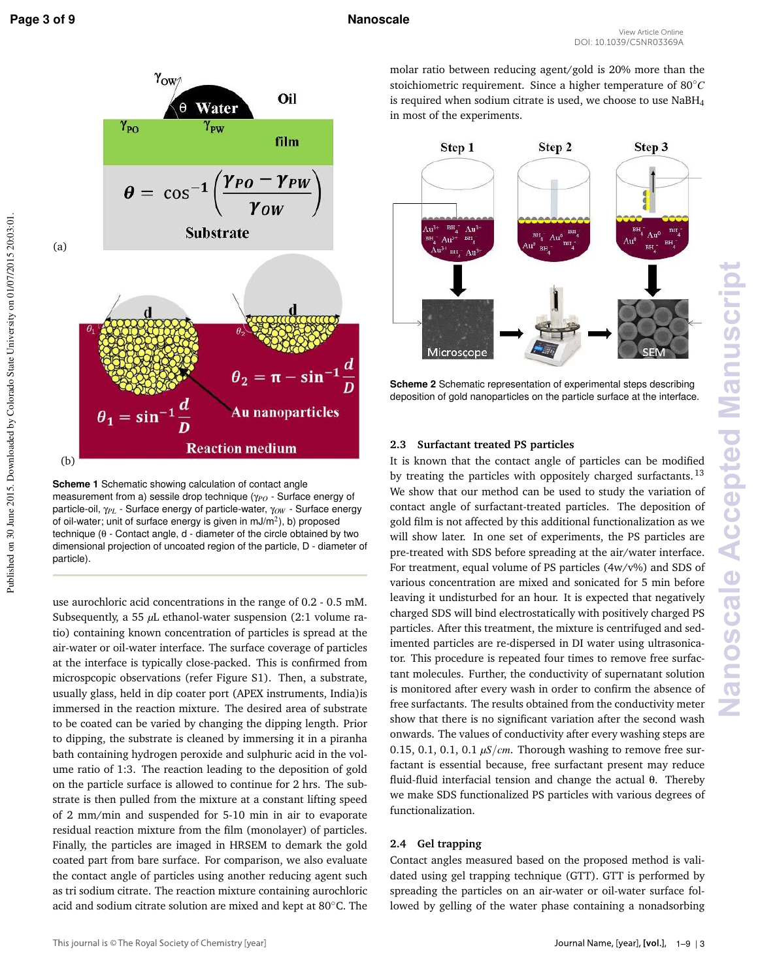**Nanoscale Accepted Manuscript**

anoscale Accepted Manu



**Scheme 1** Schematic showing calculation of contact angle measurement from a) sessile drop technique (γ<sub>PO</sub> - Surface energy of particle-oil, γ<sub>PL</sub> - Surface energy of particle-water, γ<sub>OW</sub> - Surface energy of oil-water; unit of surface energy is given in  $mJ/m<sup>2</sup>$ ), b) proposed technique (θ - Contact angle, d - diameter of the circle obtained by two dimensional projection of uncoated region of the particle, D - diameter of particle).

use aurochloric acid concentrations in the range of 0.2 - 0.5 mM. Subsequently, a 55 µL ethanol-water suspension (2:1 volume ratio) containing known concentration of particles is spread at the air-water or oil-water interface. The surface coverage of particles at the interface is typically close-packed. This is confirmed from microspcopic observations (refer Figure S1). Then, a substrate, usually glass, held in dip coater port (APEX instruments, India)is immersed in the reaction mixture. The desired area of substrate to be coated can be varied by changing the dipping length. Prior to dipping, the substrate is cleaned by immersing it in a piranha bath containing hydrogen peroxide and sulphuric acid in the volume ratio of 1:3. The reaction leading to the deposition of gold on the particle surface is allowed to continue for 2 hrs. The substrate is then pulled from the mixture at a constant lifting speed of 2 mm/min and suspended for 5-10 min in air to evaporate residual reaction mixture from the film (monolayer) of particles. Finally, the particles are imaged in HRSEM to demark the gold coated part from bare surface. For comparison, we also evaluate the contact angle of particles using another reducing agent such as tri sodium citrate. The reaction mixture containing aurochloric acid and sodium citrate solution are mixed and kept at 80◦C. The molar ratio between reducing agent/gold is 20% more than the stoichiometric requirement. Since a higher temperature of 80◦*C* is required when sodium citrate is used, we choose to use NaBH4 in most of the experiments.



**Scheme 2** Schematic representation of experimental steps describing deposition of gold nanoparticles on the particle surface at the interface.

### **2.3 Surfactant treated PS particles**

It is known that the contact angle of particles can be modified by treating the particles with oppositely charged surfactants.<sup>13</sup> We show that our method can be used to study the variation of contact angle of surfactant-treated particles. The deposition of gold film is not affected by this additional functionalization as we will show later. In one set of experiments, the PS particles are pre-treated with SDS before spreading at the air/water interface. For treatment, equal volume of PS particles (4w/v%) and SDS of various concentration are mixed and sonicated for 5 min before leaving it undisturbed for an hour. It is expected that negatively charged SDS will bind electrostatically with positively charged PS particles. After this treatment, the mixture is centrifuged and sedimented particles are re-dispersed in DI water using ultrasonicator. This procedure is repeated four times to remove free surfactant molecules. Further, the conductivity of supernatant solution is monitored after every wash in order to confirm the absence of free surfactants. The results obtained from the conductivity meter show that there is no significant variation after the second wash onwards. The values of conductivity after every washing steps are 0.15, 0.1, 0.1, 0.1  $\mu$ S/*cm*. Thorough washing to remove free surfactant is essential because, free surfactant present may reduce fluid-fluid interfacial tension and change the actual θ. Thereby we make SDS functionalized PS particles with various degrees of functionalization.

### **2.4 Gel trapping**

Contact angles measured based on the proposed method is validated using gel trapping technique (GTT). GTT is performed by spreading the particles on an air-water or oil-water surface followed by gelling of the water phase containing a nonadsorbing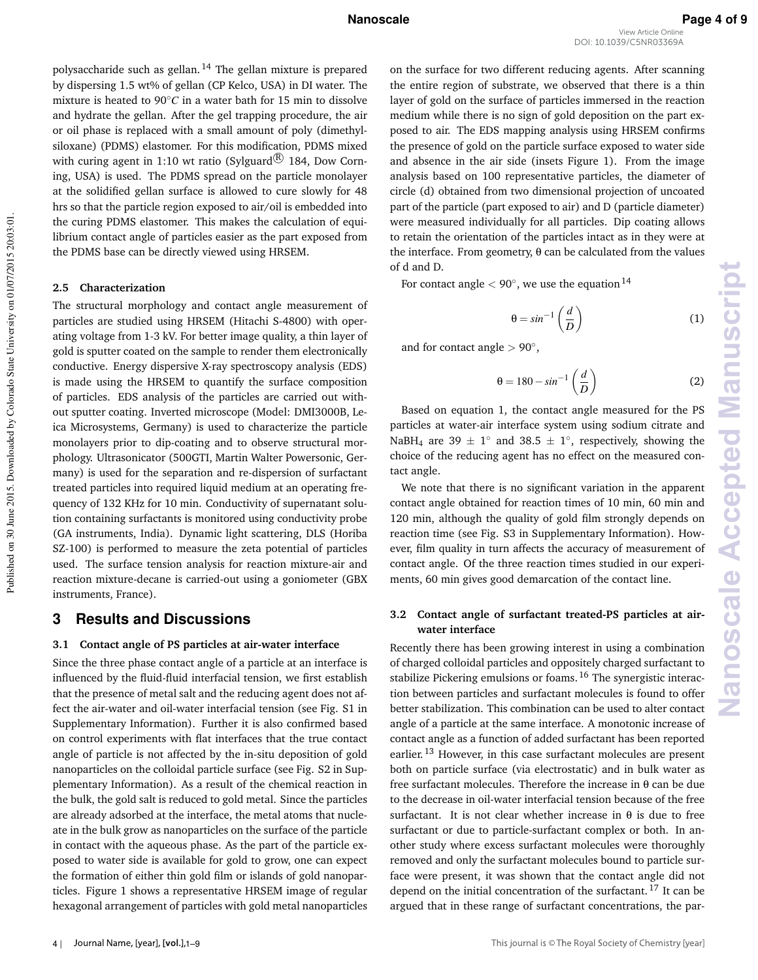polysaccharide such as gellan. <sup>14</sup> The gellan mixture is prepared by dispersing 1.5 wt% of gellan (CP Kelco, USA) in DI water. The mixture is heated to 90◦*C* in a water bath for 15 min to dissolve and hydrate the gellan. After the gel trapping procedure, the air or oil phase is replaced with a small amount of poly (dimethylsiloxane) (PDMS) elastomer. For this modification, PDMS mixed with curing agent in 1:10 wt ratio (Sylguard $\mathbb{R}$ ) 184, Dow Corning, USA) is used. The PDMS spread on the particle monolayer at the solidified gellan surface is allowed to cure slowly for 48 hrs so that the particle region exposed to air/oil is embedded into the curing PDMS elastomer. This makes the calculation of equilibrium contact angle of particles easier as the part exposed from the PDMS base can be directly viewed using HRSEM.

### **2.5 Characterization**

The structural morphology and contact angle measurement of particles are studied using HRSEM (Hitachi S-4800) with operating voltage from 1-3 kV. For better image quality, a thin layer of gold is sputter coated on the sample to render them electronically conductive. Energy dispersive X-ray spectroscopy analysis (EDS) is made using the HRSEM to quantify the surface composition of particles. EDS analysis of the particles are carried out without sputter coating. Inverted microscope (Model: DMI3000B, Leica Microsystems, Germany) is used to characterize the particle monolayers prior to dip-coating and to observe structural morphology. Ultrasonicator (500GTI, Martin Walter Powersonic, Germany) is used for the separation and re-dispersion of surfactant treated particles into required liquid medium at an operating frequency of 132 KHz for 10 min. Conductivity of supernatant solution containing surfactants is monitored using conductivity probe (GA instruments, India). Dynamic light scattering, DLS (Horiba SZ-100) is performed to measure the zeta potential of particles used. The surface tension analysis for reaction mixture-air and reaction mixture-decane is carried-out using a goniometer (GBX instruments, France).

### **3 Results and Discussions**

### **3.1 Contact angle of PS particles at air-water interface**

Since the three phase contact angle of a particle at an interface is influenced by the fluid-fluid interfacial tension, we first establish that the presence of metal salt and the reducing agent does not affect the air-water and oil-water interfacial tension (see Fig. S1 in Supplementary Information). Further it is also confirmed based on control experiments with flat interfaces that the true contact angle of particle is not affected by the in-situ deposition of gold nanoparticles on the colloidal particle surface (see Fig. S2 in Supplementary Information). As a result of the chemical reaction in the bulk, the gold salt is reduced to gold metal. Since the particles are already adsorbed at the interface, the metal atoms that nucleate in the bulk grow as nanoparticles on the surface of the particle in contact with the aqueous phase. As the part of the particle exposed to water side is available for gold to grow, one can expect the formation of either thin gold film or islands of gold nanoparticles. Figure 1 shows a representative HRSEM image of regular hexagonal arrangement of particles with gold metal nanoparticles on the surface for two different reducing agents. After scanning the entire region of substrate, we observed that there is a thin layer of gold on the surface of particles immersed in the reaction medium while there is no sign of gold deposition on the part exposed to air. The EDS mapping analysis using HRSEM confirms the presence of gold on the particle surface exposed to water side and absence in the air side (insets Figure 1). From the image analysis based on 100 representative particles, the diameter of circle (d) obtained from two dimensional projection of uncoated part of the particle (part exposed to air) and D (particle diameter) were measured individually for all particles. Dip coating allows to retain the orientation of the particles intact as in they were at the interface. From geometry, θ can be calculated from the values of d and D.

For contact angle  $<$  90 $^{\circ}$ , we use the equation  $^{14}$ 

$$
\theta = \sin^{-1}\left(\frac{d}{D}\right) \tag{1}
$$

and for contact angle  $> 90^\circ$ ,

$$
\theta = 180 - \sin^{-1}\left(\frac{d}{D}\right) \tag{2}
$$

Based on equation 1, the contact angle measured for the PS particles at water-air interface system using sodium citrate and NaBH<sub>4</sub> are 39  $\pm$  1° and 38.5  $\pm$  1°, respectively, showing the choice of the reducing agent has no effect on the measured contact angle.

We note that there is no significant variation in the apparent contact angle obtained for reaction times of 10 min, 60 min and 120 min, although the quality of gold film strongly depends on reaction time (see Fig. S3 in Supplementary Information). However, film quality in turn affects the accuracy of measurement of contact angle. Of the three reaction times studied in our experiments, 60 min gives good demarcation of the contact line.

### **3.2 Contact angle of surfactant treated-PS particles at airwater interface**

Recently there has been growing interest in using a combination of charged colloidal particles and oppositely charged surfactant to stabilize Pickering emulsions or foams.<sup>16</sup> The synergistic interaction between particles and surfactant molecules is found to offer better stabilization. This combination can be used to alter contact angle of a particle at the same interface. A monotonic increase of contact angle as a function of added surfactant has been reported earlier.<sup>13</sup> However, in this case surfactant molecules are present both on particle surface (via electrostatic) and in bulk water as free surfactant molecules. Therefore the increase in θ can be due to the decrease in oil-water interfacial tension because of the free surfactant. It is not clear whether increase in  $\theta$  is due to free surfactant or due to particle-surfactant complex or both. In another study where excess surfactant molecules were thoroughly removed and only the surfactant molecules bound to particle surface were present, it was shown that the contact angle did not depend on the initial concentration of the surfactant.<sup>17</sup> It can be argued that in these range of surfactant concentrations, the par-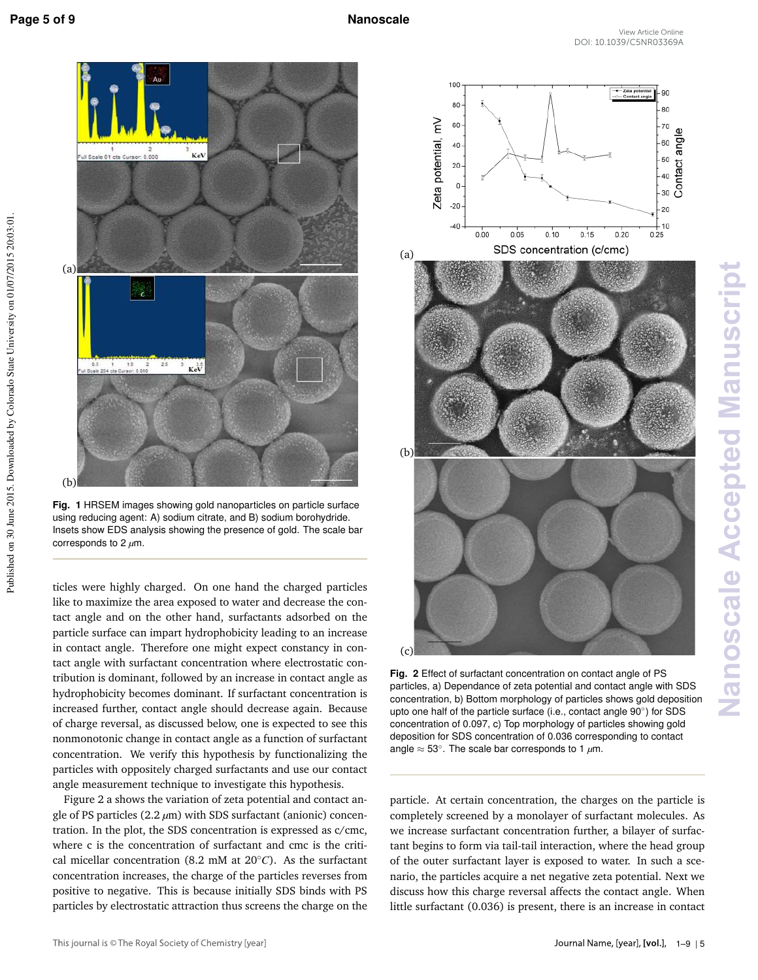

**Fig. 1** HRSEM images showing gold nanoparticles on particle surface using reducing agent: A) sodium citrate, and B) sodium borohydride. Insets show EDS analysis showing the presence of gold. The scale bar corresponds to 2 *µ*m.

ticles were highly charged. On one hand the charged particles like to maximize the area exposed to water and decrease the contact angle and on the other hand, surfactants adsorbed on the particle surface can impart hydrophobicity leading to an increase in contact angle. Therefore one might expect constancy in contact angle with surfactant concentration where electrostatic contribution is dominant, followed by an increase in contact angle as hydrophobicity becomes dominant. If surfactant concentration is increased further, contact angle should decrease again. Because of charge reversal, as discussed below, one is expected to see this nonmonotonic change in contact angle as a function of surfactant concentration. We verify this hypothesis by functionalizing the particles with oppositely charged surfactants and use our contact angle measurement technique to investigate this hypothesis.

Figure 2 a shows the variation of zeta potential and contact angle of PS particles (2.2 *µ*m) with SDS surfactant (anionic) concentration. In the plot, the SDS concentration is expressed as c/cmc, where c is the concentration of surfactant and cmc is the critical micellar concentration (8.2 mM at 20◦*C*). As the surfactant concentration increases, the charge of the particles reverses from positive to negative. This is because initially SDS binds with PS particles by electrostatic attraction thus screens the charge on the



**Nanoscale Accepted Manuscript** Nanoscale Accepted Manuscript

**Fig. 2** Effect of surfactant concentration on contact angle of PS particles, a) Dependance of zeta potential and contact angle with SDS concentration, b) Bottom morphology of particles shows gold deposition upto one half of the particle surface (i.e., contact angle 90°) for SDS concentration of 0.097, c) Top morphology of particles showing gold deposition for SDS concentration of 0.036 corresponding to contact angle ≈ 53◦ . The scale bar corresponds to 1 *µ*m.

particle. At certain concentration, the charges on the particle is completely screened by a monolayer of surfactant molecules. As we increase surfactant concentration further, a bilayer of surfactant begins to form via tail-tail interaction, where the head group of the outer surfactant layer is exposed to water. In such a scenario, the particles acquire a net negative zeta potential. Next we discuss how this charge reversal affects the contact angle. When little surfactant (0.036) is present, there is an increase in contact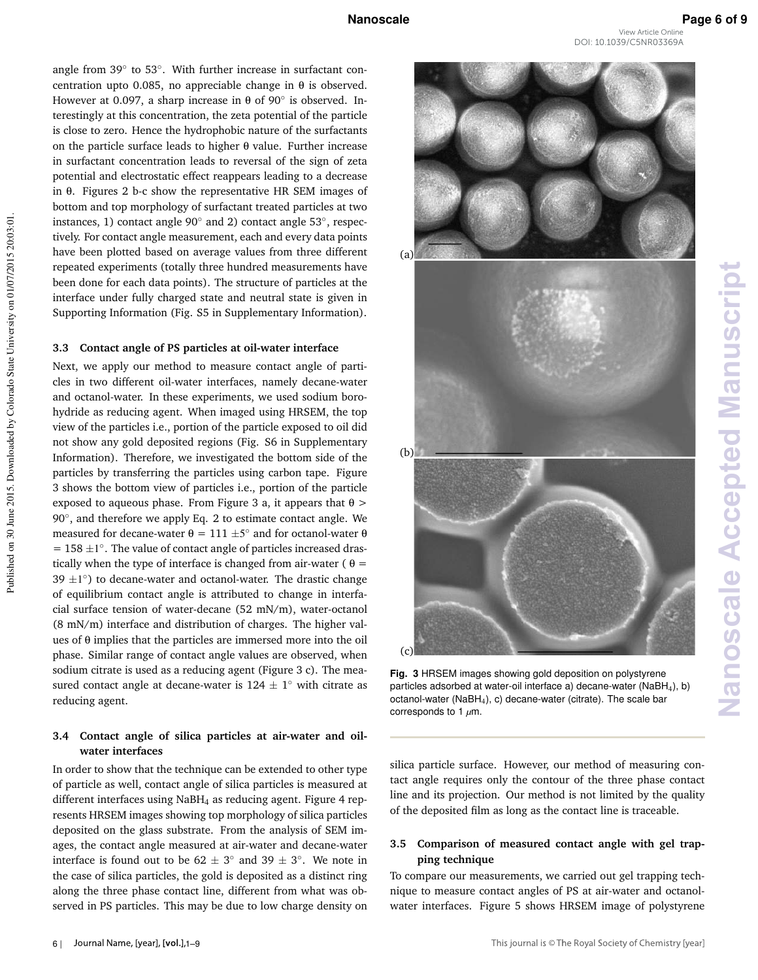**Nanoscale Accepted Manuscript**

**Nanoscale Accepted Manuscript** 

angle from 39° to 53°. With further increase in surfactant concentration upto 0.085, no appreciable change in θ is observed. However at 0.097, a sharp increase in  $\theta$  of 90 $^{\circ}$  is observed. Interestingly at this concentration, the zeta potential of the particle is close to zero. Hence the hydrophobic nature of the surfactants on the particle surface leads to higher θ value. Further increase in surfactant concentration leads to reversal of the sign of zeta potential and electrostatic effect reappears leading to a decrease in θ. Figures 2 b-c show the representative HR SEM images of bottom and top morphology of surfactant treated particles at two instances, 1) contact angle 90◦ and 2) contact angle 53◦ , respectively. For contact angle measurement, each and every data points have been plotted based on average values from three different repeated experiments (totally three hundred measurements have been done for each data points). The structure of particles at the interface under fully charged state and neutral state is given in Supporting Information (Fig. S5 in Supplementary Information).

### **3.3 Contact angle of PS particles at oil-water interface**

Next, we apply our method to measure contact angle of particles in two different oil-water interfaces, namely decane-water and octanol-water. In these experiments, we used sodium borohydride as reducing agent. When imaged using HRSEM, the top view of the particles i.e., portion of the particle exposed to oil did not show any gold deposited regions (Fig. S6 in Supplementary Information). Therefore, we investigated the bottom side of the particles by transferring the particles using carbon tape. Figure 3 shows the bottom view of particles i.e., portion of the particle exposed to aqueous phase. From Figure 3 a, it appears that  $\theta$  > 90°, and therefore we apply Eq. 2 to estimate contact angle. We measured for decane-water  $\theta = 111 \pm 5^{\circ}$  and for octanol-water  $\theta$  $= 158 \pm 1^\circ$ . The value of contact angle of particles increased drastically when the type of interface is changed from air-water ( $\theta =$  $39 \pm 1^\circ$ ) to decane-water and octanol-water. The drastic change of equilibrium contact angle is attributed to change in interfacial surface tension of water-decane (52 mN/m), water-octanol (8 mN/m) interface and distribution of charges. The higher values of θ implies that the particles are immersed more into the oil phase. Similar range of contact angle values are observed, when sodium citrate is used as a reducing agent (Figure 3 c). The measured contact angle at decane-water is  $124 \pm 1^{\circ}$  with citrate as reducing agent.

### **3.4 Contact angle of silica particles at air-water and oilwater interfaces**

In order to show that the technique can be extended to other type of particle as well, contact angle of silica particles is measured at different interfaces using  $N$ aBH<sub>4</sub> as reducing agent. Figure 4 represents HRSEM images showing top morphology of silica particles deposited on the glass substrate. From the analysis of SEM images, the contact angle measured at air-water and decane-water interface is found out to be  $62 \pm 3^{\circ}$  and  $39 \pm 3^{\circ}$ . We note in the case of silica particles, the gold is deposited as a distinct ring along the three phase contact line, different from what was observed in PS particles. This may be due to low charge density on



**Fig. 3** HRSEM images showing gold deposition on polystyrene particles adsorbed at water-oil interface a) decane-water (NaBH<sub>4</sub>), b) octanol-water ( $N$ aBH<sub>4</sub>), c) decane-water (citrate). The scale bar corresponds to 1 *µ*m.

silica particle surface. However, our method of measuring contact angle requires only the contour of the three phase contact line and its projection. Our method is not limited by the quality of the deposited film as long as the contact line is traceable.

### **3.5 Comparison of measured contact angle with gel trapping technique**

To compare our measurements, we carried out gel trapping technique to measure contact angles of PS at air-water and octanolwater interfaces. Figure 5 shows HRSEM image of polystyrene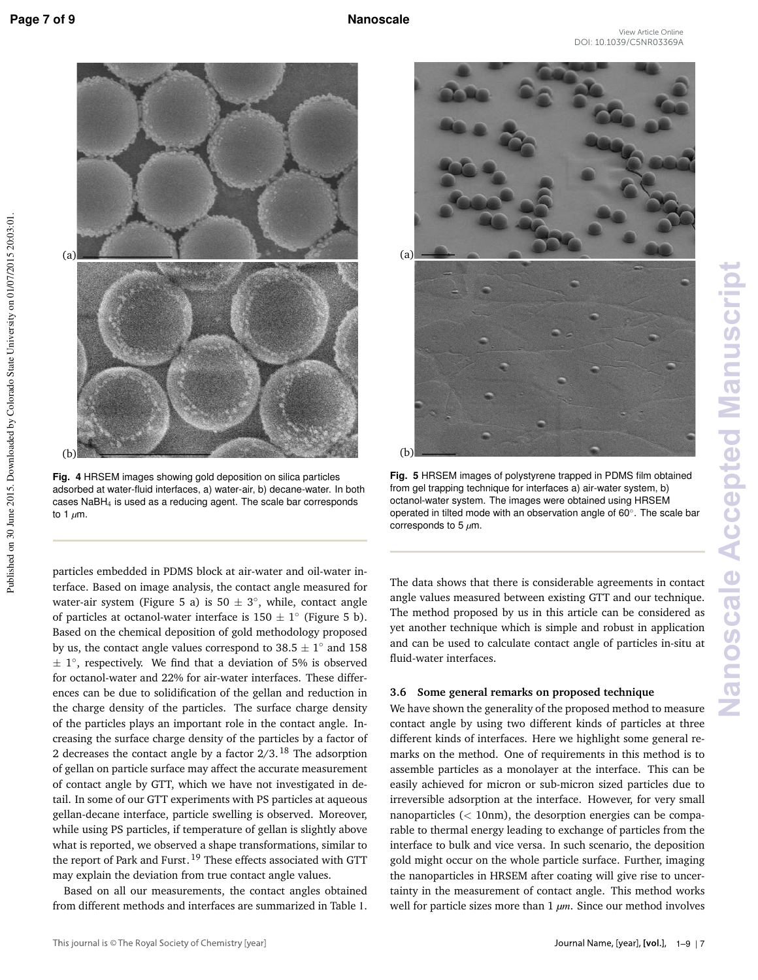Published on 30 June 2015. Downloaded by Colorado State University on 01/07/2015 20:03:01.

Published on 30 June 2015. Downloaded by Colorado State University on 01/07/2015 20:03:01



**Fig. 4** HRSEM images showing gold deposition on silica particles adsorbed at water-fluid interfaces, a) water-air, b) decane-water. In both cases NaBH4 is used as a reducing agent. The scale bar corresponds to 1 *µ*m.

particles embedded in PDMS block at air-water and oil-water interface. Based on image analysis, the contact angle measured for water-air system (Figure 5 a) is  $50 \pm 3^{\circ}$ , while, contact angle of particles at octanol-water interface is  $150 \pm 1^{\circ}$  (Figure 5 b). Based on the chemical deposition of gold methodology proposed by us, the contact angle values correspond to  $38.5 \pm 1^{\circ}$  and 158  $\pm$  1°, respectively. We find that a deviation of 5% is observed for octanol-water and 22% for air-water interfaces. These differences can be due to solidification of the gellan and reduction in the charge density of the particles. The surface charge density of the particles plays an important role in the contact angle. Increasing the surface charge density of the particles by a factor of 2 decreases the contact angle by a factor  $2/3$ . <sup>18</sup> The adsorption of gellan on particle surface may affect the accurate measurement of contact angle by GTT, which we have not investigated in detail. In some of our GTT experiments with PS particles at aqueous gellan-decane interface, particle swelling is observed. Moreover, while using PS particles, if temperature of gellan is slightly above what is reported, we observed a shape transformations, similar to the report of Park and Furst.<sup>19</sup> These effects associated with GTT may explain the deviation from true contact angle values.

Based on all our measurements, the contact angles obtained from different methods and interfaces are summarized in Table 1.



**Fig. 5** HRSEM images of polystyrene trapped in PDMS film obtained from gel trapping technique for interfaces a) air-water system, b) octanol-water system. The images were obtained using HRSEM operated in tilted mode with an observation angle of 60◦ . The scale bar corresponds to 5 *µ*m.

The data shows that there is considerable agreements in contact angle values measured between existing GTT and our technique. The method proposed by us in this article can be considered as yet another technique which is simple and robust in application and can be used to calculate contact angle of particles in-situ at fluid-water interfaces.

### **3.6 Some general remarks on proposed technique**

We have shown the generality of the proposed method to measure contact angle by using two different kinds of particles at three different kinds of interfaces. Here we highlight some general remarks on the method. One of requirements in this method is to assemble particles as a monolayer at the interface. This can be easily achieved for micron or sub-micron sized particles due to irreversible adsorption at the interface. However, for very small nanoparticles (< 10nm), the desorption energies can be comparable to thermal energy leading to exchange of particles from the interface to bulk and vice versa. In such scenario, the deposition gold might occur on the whole particle surface. Further, imaging the nanoparticles in HRSEM after coating will give rise to uncertainty in the measurement of contact angle. This method works well for particle sizes more than 1 *µm*. Since our method involves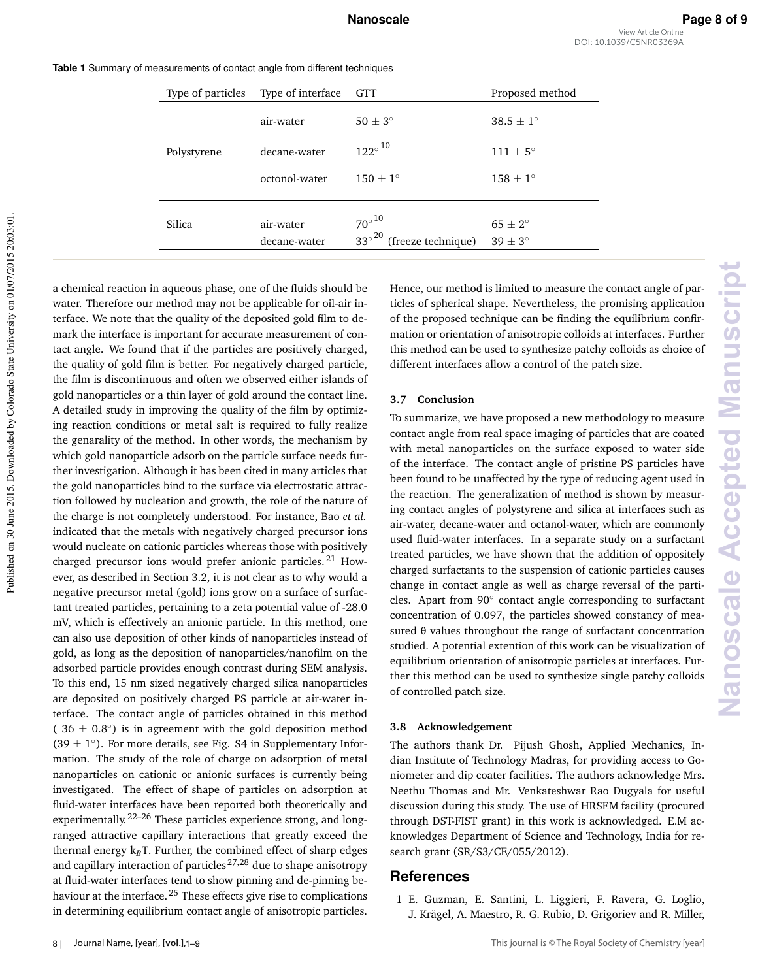**Nanoscale Accepted Manuscript**

**Nanoscale Accepted Manuscrip** 

| Type of particles | Type of interface | <b>GTT</b>                                       | Proposed method    |
|-------------------|-------------------|--------------------------------------------------|--------------------|
| Polystyrene       | air-water         | $50 + 3^{\circ}$                                 | $38.5 + 1^{\circ}$ |
|                   | decane-water      | $122^\circ$ $^{10}$                              | $111 + 5^{\circ}$  |
|                   | octonol-water     | $150 + 1^{\circ}$                                | $158 + 1^{\circ}$  |
|                   |                   |                                                  |                    |
| Silica            | air-water         | $70^{\circ}$ <sup>10</sup>                       | $65 + 2^{\circ}$   |
|                   | decane-water      | $33^{\circ}$ <sup>20</sup><br>(freeze technique) | $39 \pm 3^{\circ}$ |

**Table 1** Summary of measurements of contact angle from different techniques

a chemical reaction in aqueous phase, one of the fluids should be water. Therefore our method may not be applicable for oil-air interface. We note that the quality of the deposited gold film to demark the interface is important for accurate measurement of contact angle. We found that if the particles are positively charged, the quality of gold film is better. For negatively charged particle, the film is discontinuous and often we observed either islands of gold nanoparticles or a thin layer of gold around the contact line. A detailed study in improving the quality of the film by optimizing reaction conditions or metal salt is required to fully realize the genarality of the method. In other words, the mechanism by which gold nanoparticle adsorb on the particle surface needs further investigation. Although it has been cited in many articles that the gold nanoparticles bind to the surface via electrostatic attraction followed by nucleation and growth, the role of the nature of the charge is not completely understood. For instance, Bao *et al.* indicated that the metals with negatively charged precursor ions would nucleate on cationic particles whereas those with positively charged precursor ions would prefer anionic particles.<sup>21</sup> However, as described in Section 3.2, it is not clear as to why would a negative precursor metal (gold) ions grow on a surface of surfactant treated particles, pertaining to a zeta potential value of -28.0 mV, which is effectively an anionic particle. In this method, one can also use deposition of other kinds of nanoparticles instead of gold, as long as the deposition of nanoparticles/nanofilm on the adsorbed particle provides enough contrast during SEM analysis. To this end, 15 nm sized negatively charged silica nanoparticles are deposited on positively charged PS particle at air-water interface. The contact angle of particles obtained in this method (  $36 \pm 0.8^\circ$ ) is in agreement with the gold deposition method  $(39 \pm 1^\circ)$ . For more details, see Fig. S4 in Supplementary Information. The study of the role of charge on adsorption of metal nanoparticles on cationic or anionic surfaces is currently being investigated. The effect of shape of particles on adsorption at fluid-water interfaces have been reported both theoretically and experimentally. 22–26 These particles experience strong, and longranged attractive capillary interactions that greatly exceed the thermal energy k<sub>B</sub>T. Further, the combined effect of sharp edges and capillary interaction of particles<sup>27,28</sup> due to shape anisotropy at fluid-water interfaces tend to show pinning and de-pinning behaviour at the interface.<sup>25</sup> These effects give rise to complications in determining equilibrium contact angle of anisotropic particles.

Hence, our method is limited to measure the contact angle of particles of spherical shape. Nevertheless, the promising application of the proposed technique can be finding the equilibrium confirmation or orientation of anisotropic colloids at interfaces. Further this method can be used to synthesize patchy colloids as choice of different interfaces allow a control of the patch size.

### **3.7 Conclusion**

To summarize, we have proposed a new methodology to measure contact angle from real space imaging of particles that are coated with metal nanoparticles on the surface exposed to water side of the interface. The contact angle of pristine PS particles have been found to be unaffected by the type of reducing agent used in the reaction. The generalization of method is shown by measuring contact angles of polystyrene and silica at interfaces such as air-water, decane-water and octanol-water, which are commonly used fluid-water interfaces. In a separate study on a surfactant treated particles, we have shown that the addition of oppositely charged surfactants to the suspension of cationic particles causes change in contact angle as well as charge reversal of the particles. Apart from 90° contact angle corresponding to surfactant concentration of 0.097, the particles showed constancy of measured θ values throughout the range of surfactant concentration studied. A potential extention of this work can be visualization of equilibrium orientation of anisotropic particles at interfaces. Further this method can be used to synthesize single patchy colloids of controlled patch size.

### **3.8 Acknowledgement**

The authors thank Dr. Pijush Ghosh, Applied Mechanics, Indian Institute of Technology Madras, for providing access to Goniometer and dip coater facilities. The authors acknowledge Mrs. Neethu Thomas and Mr. Venkateshwar Rao Dugyala for useful discussion during this study. The use of HRSEM facility (procured through DST-FIST grant) in this work is acknowledged. E.M acknowledges Department of Science and Technology, India for research grant (SR/S3/CE/055/2012).

### **References**

1 E. Guzman, E. Santini, L. Liggieri, F. Ravera, G. Loglio, J. Krägel, A. Maestro, R. G. Rubio, D. Grigoriev and R. Miller,